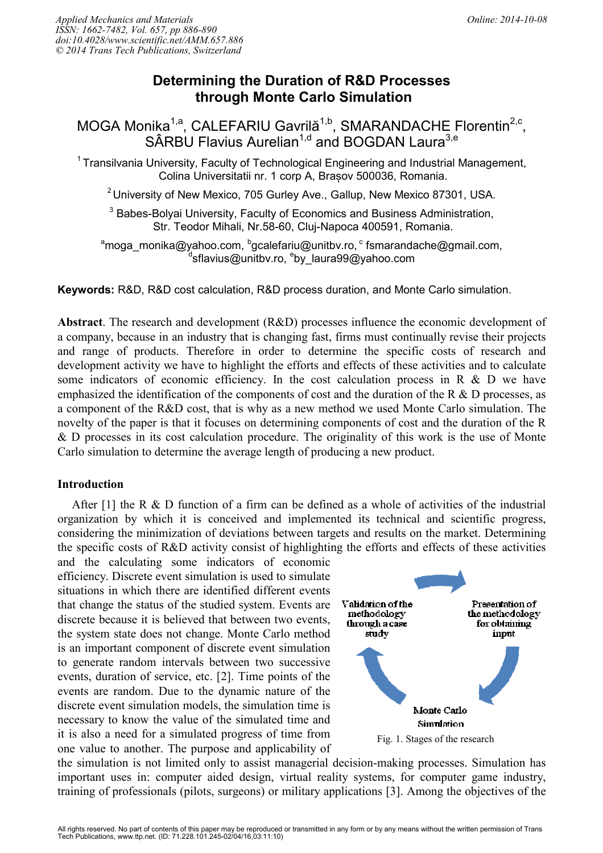# **Determining the Duration of R&D Processes through Monte Carlo Simulation**

# MOGA Monika<sup>1,a</sup>, CALEFARIU Gavrilă<sup>1,b</sup>, SMARANDACHE Florentin<sup>2,c</sup>, SÂRBU Flavius Aurelian<sup>1,d</sup> and BOGDAN Laura<sup>3,e</sup>

 $1$ Transilvania University, Faculty of Technological Engineering and Industrial Management, Colina Universitatii nr. 1 corp A, Brașov 500036, Romania.

 $2$  University of New Mexico, 705 Gurley Ave., Gallup, New Mexico 87301, USA.

 $3$  Babes-Bolyai University, Faculty of Economics and Business Administration, Str. Teodor Mihali, Nr.58-60, Cluj-Napoca 400591, Romania.

 $\mathrm{^{a}}$ moga\_monika@yahoo.com,  $\mathrm{^{b}}$ gcalefariu@unitbv.ro,  $\mathrm{^{c}}$  fsmarandache@gmail.com, <sup>d</sup>sflavius@unitbv.ro, <sup>e</sup>by\_laura99@yahoo.com

**Keywords:** R&D, R&D cost calculation, R&D process duration, and Monte Carlo simulation.

**Abstract**. The research and development (R&D) processes influence the economic development of a company, because in an industry that is changing fast, firms must continually revise their projects and range of products. Therefore in order to determine the specific costs of research and development activity we have to highlight the efforts and effects of these activities and to calculate some indicators of economic efficiency. In the cost calculation process in R  $\&$  D we have emphasized the identification of the components of cost and the duration of the R  $\&$  D processes, as a component of the R&D cost, that is why as a new method we used Monte Carlo simulation. The novelty of the paper is that it focuses on determining components of cost and the duration of the R & D processes in its cost calculation procedure. The originality of this work is the use of Monte Carlo simulation to determine the average length of producing a new product.

## **Introduction**

After  $[1]$  the R & D function of a firm can be defined as a whole of activities of the industrial organization by which it is conceived and implemented its technical and scientific progress, considering the minimization of deviations between targets and results on the market. Determining the specific costs of R&D activity consist of highlighting the efforts and effects of these activities

and the calculating some indicators of economic efficiency. Discrete event simulation is used to simulate situations in which there are identified different events that change the status of the studied system. Events are discrete because it is believed that between two events, the system state does not change. Monte Carlo method is an important component of discrete event simulation to generate random intervals between two successive events, duration of service, etc. [2]. Time points of the events are random. Due to the dynamic nature of the discrete event simulation models, the simulation time is necessary to know the value of the simulated time and it is also a need for a simulated progress of time from one value to another. The purpose and applicability of



the simulation is not limited only to assist managerial decision-making processes. Simulation has important uses in: computer aided design, virtual reality systems, for computer game industry, training of professionals (pilots, surgeons) or military applications [3]. Among the objectives of the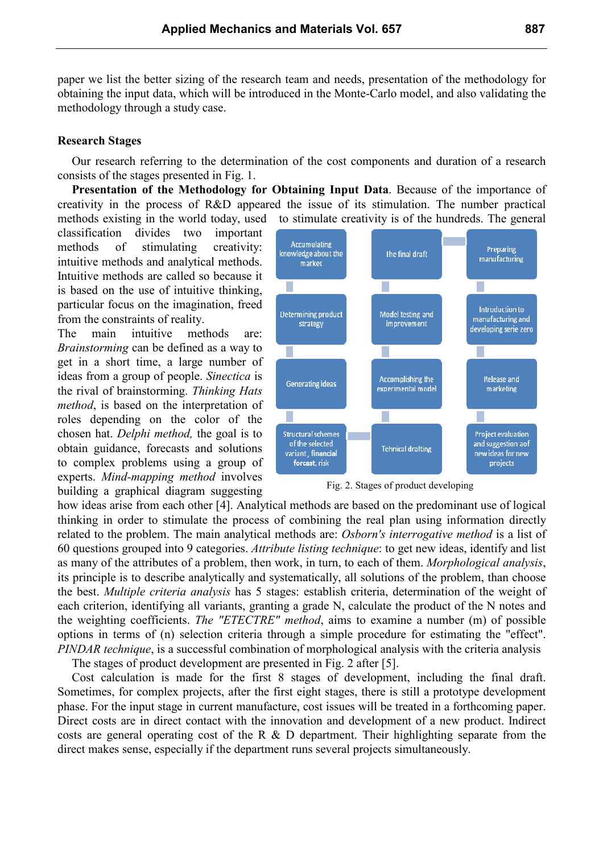paper we list the better sizing of the research team and needs, presentation of the methodology for obtaining the input data, which will be introduced in the Monte-Carlo model, and also validating the methodology through a study case.

#### **Research Stages**

Our research referring to the determination of the cost components and duration of a research consists of the stages presented in Fig. 1.

**Presentation of the Methodology for Obtaining Input Data**. Because of the importance of creativity in the process of R&D appeared the issue of its stimulation. The number practical methods existing in the world today, used to stimulate creativity is of the hundreds. The general

classification divides two important methods of stimulating creativity: intuitive methods and analytical methods. Intuitive methods are called so because it is based on the use of intuitive thinking, particular focus on the imagination, freed from the constraints of reality.

The main intuitive methods are: *Brainstorming* can be defined as a way to get in a short time, a large number of ideas from a group of people. *Sinectica* is the rival of brainstorming. *Thinking Hats method*, is based on the interpretation of roles depending on the color of the chosen hat. *Delphi method,* the goal is to obtain guidance, forecasts and solutions to complex problems using a group of experts. *Mind-mapping method* involves building a graphical diagram suggesting



Fig. 2. Stages of product developing

how ideas arise from each other [4]. Analytical methods are based on the predominant use of logical thinking in order to stimulate the process of combining the real plan using information directly related to the problem. The main analytical methods are: *Osborn's interrogative method* is a list of 60 questions grouped into 9 categories. *Attribute listing technique*: to get new ideas, identify and list as many of the attributes of a problem, then work, in turn, to each of them. *Morphological analysis*, its principle is to describe analytically and systematically, all solutions of the problem, than choose the best. *Multiple criteria analysis* has 5 stages: establish criteria, determination of the weight of each criterion, identifying all variants, granting a grade N, calculate the product of the N notes and the weighting coefficients. *The "ETECTRE" method*, aims to examine a number (m) of possible options in terms of (n) selection criteria through a simple procedure for estimating the "effect". *PINDAR technique*, is a successful combination of morphological analysis with the criteria analysis

The stages of product development are presented in Fig. 2 after [5].

Cost calculation is made for the first 8 stages of development, including the final draft. Sometimes, for complex projects, after the first eight stages, there is still a prototype development phase. For the input stage in current manufacture, cost issues will be treated in a forthcoming paper. Direct costs are in direct contact with the innovation and development of a new product. Indirect costs are general operating cost of the R & D department. Their highlighting separate from the direct makes sense, especially if the department runs several projects simultaneously.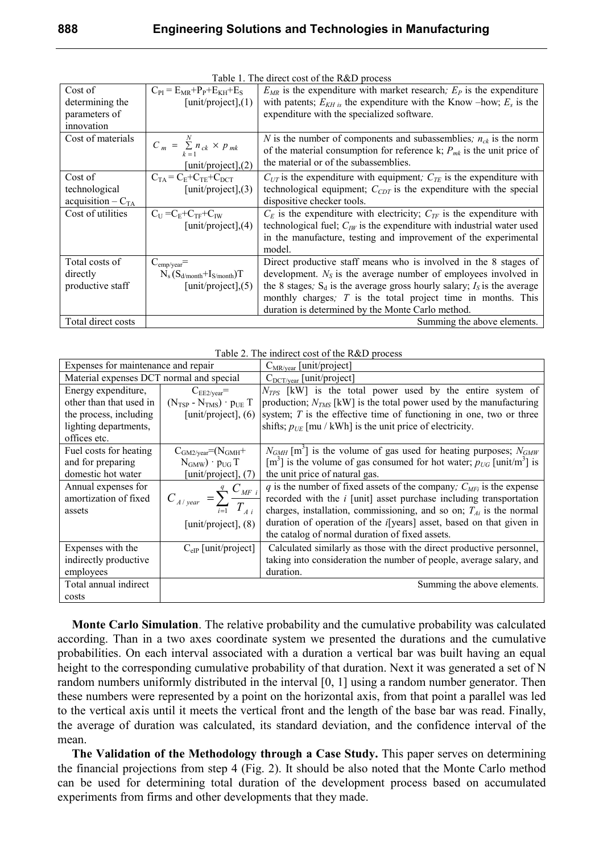|                            |                                                                            | $\epsilon$ is the direct cost of the rice $\epsilon$                                                                                                           |
|----------------------------|----------------------------------------------------------------------------|----------------------------------------------------------------------------------------------------------------------------------------------------------------|
| Cost of<br>determining the | $C_{PI} = E_{MR} + P_P + E_{KH} + E_S$<br>$[unit/project]$ <sub>,(1)</sub> | $E_{MR}$ is the expenditure with market research; $E_p$ is the expenditure<br>with patents; $E_{KH\text{ is}}$ the expenditure with the Know-how; $E_s$ is the |
| parameters of              |                                                                            | expenditure with the specialized software.                                                                                                                     |
| innovation                 |                                                                            |                                                                                                                                                                |
| Cost of materials          | $C_m = \sum_{k=1}^{N} n_{ck} \times p_{mk}$                                | N is the number of components and subassemblies; $n_{ck}$ is the norm<br>of the material consumption for reference k; $P_{mk}$ is the unit price of            |
|                            | $[unit/project]$ , $(2)$                                                   | the material or of the subassemblies.                                                                                                                          |
| Cost of                    | $C_{TA} = C_{F} + C_{TF} + C_{DCT}$                                        | $C_{UT}$ is the expenditure with equipment; $C_{TE}$ is the expenditure with                                                                                   |
| technological              | $[unit/project]$ <sub>,</sub> $(3)$                                        | technological equipment; $C_{CDT}$ is the expenditure with the special                                                                                         |
| acquisition $-C_{TA}$      |                                                                            | dispositive checker tools.                                                                                                                                     |
| Cost of utilities          | $C_{\text{U}}=C_{\text{E}}+C_{\text{TF}}+C_{\text{IW}}$                    | $C_F$ is the expenditure with electricity; $C_{TF}$ is the expenditure with                                                                                    |
|                            | $[unit/project]$ <sub>,</sub> $(4)$                                        | technological fuel; $C_{IW}$ is the expenditure with industrial water used                                                                                     |
|                            |                                                                            | in the manufacture, testing and improvement of the experimental                                                                                                |
|                            |                                                                            | model.                                                                                                                                                         |
| Total costs of             | $C_{\text{emp/year}} =$                                                    | Direct productive staff means who is involved in the 8 stages of                                                                                               |
| directly                   | $N_s(S_{d/month} + I_{S/month})$                                           | development. $NS$ is the average number of employees involved in                                                                                               |
| productive staff           | $[unit/project]$ , $(5)$                                                   | the 8 stages; $S_d$ is the average gross hourly salary; $I_s$ is the average                                                                                   |
|                            |                                                                            | monthly charges; $T$ is the total project time in months. This                                                                                                 |
|                            |                                                                            | duration is determined by the Monte Carlo method.                                                                                                              |
| Total direct costs         |                                                                            | Summing the above elements.                                                                                                                                    |

Table 1. The direct cost of the  $R&D$  process

Table 2. The indirect cost of the R&D process

| Expenses for maintenance and repair      |                                                       | $C_{MR/year}$ [unit/project]                                                                                 |
|------------------------------------------|-------------------------------------------------------|--------------------------------------------------------------------------------------------------------------|
| Material expenses DCT normal and special |                                                       | $C_{DCT/year}$ [unit/project]                                                                                |
| Energy expenditure,                      | $C_{EE2/year}$ =                                      | $NTPS$ [kW] is the total power used by the entire system of                                                  |
| other than that used in                  | $(N_{TSP} - N_{TMS}) \cdot p_{UE} T$                  | production; $N_{TMS}$ [kW] is the total power used by the manufacturing                                      |
| the process, including                   | [unit/project], (6)                                   | system; $T$ is the effective time of functioning in one, two or three                                        |
| lighting departments,                    |                                                       | shifts; $p_{UE}$ [mu / kWh] is the unit price of electricity.                                                |
| offices etc.                             |                                                       |                                                                                                              |
| Fuel costs for heating                   | $C_{GM2/year} = (N_{GMH} +$                           | $N_{GMH}$ [m <sup>3</sup> ] is the volume of gas used for heating purposes; $N_{GMH}$                        |
| and for preparing                        | $N_{GMW}) \cdot p_{UG}T$                              | $\lceil m^3 \rceil$ is the volume of gas consumed for hot water; $p_{UG}$ $\lceil \text{unit/m}^3 \rceil$ is |
| domestic hot water                       | [unit/project], (7)                                   | the unit price of natural gas.                                                                               |
| Annual expenses for                      |                                                       | q is the number of fixed assets of the company; $C_{MFi}$ is the expense                                     |
| amortization of fixed                    | $C_{A/year} = \sum_{i=1}^{q} \frac{C_{MF i}}{T_{Ai}}$ | recorded with the $i$ [unit] asset purchase including transportation                                         |
| assets                                   |                                                       | charges, installation, commissioning, and so on; $T_{Ai}$ is the normal                                      |
|                                          | [unit/project], (8)                                   | duration of operation of the <i>i</i> [years] asset, based on that given in                                  |
|                                          |                                                       | the catalog of normal duration of fixed assets.                                                              |
| Expenses with the                        | $C_{\text{eIP}}$ [unit/project]                       | Calculated similarly as those with the direct productive personnel,                                          |
| indirectly productive                    |                                                       | taking into consideration the number of people, average salary, and                                          |
| employees                                |                                                       | duration.                                                                                                    |
| Total annual indirect                    |                                                       | Summing the above elements.                                                                                  |
| costs                                    |                                                       |                                                                                                              |

**Monte Carlo Simulation**. The relative probability and the cumulative probability was calculated according. Than in a two axes coordinate system we presented the durations and the cumulative probabilities. On each interval associated with a duration a vertical bar was built having an equal height to the corresponding cumulative probability of that duration. Next it was generated a set of N random numbers uniformly distributed in the interval [0, 1] using a random number generator. Then these numbers were represented by a point on the horizontal axis, from that point a parallel was led to the vertical axis until it meets the vertical front and the length of the base bar was read. Finally, the average of duration was calculated, its standard deviation, and the confidence interval of the mean.

**The Validation of the Methodology through a Case Study.** This paper serves on determining the financial projections from step 4 (Fig. 2). It should be also noted that the Monte Carlo method can be used for determining total duration of the development process based on accumulated experiments from firms and other developments that they made.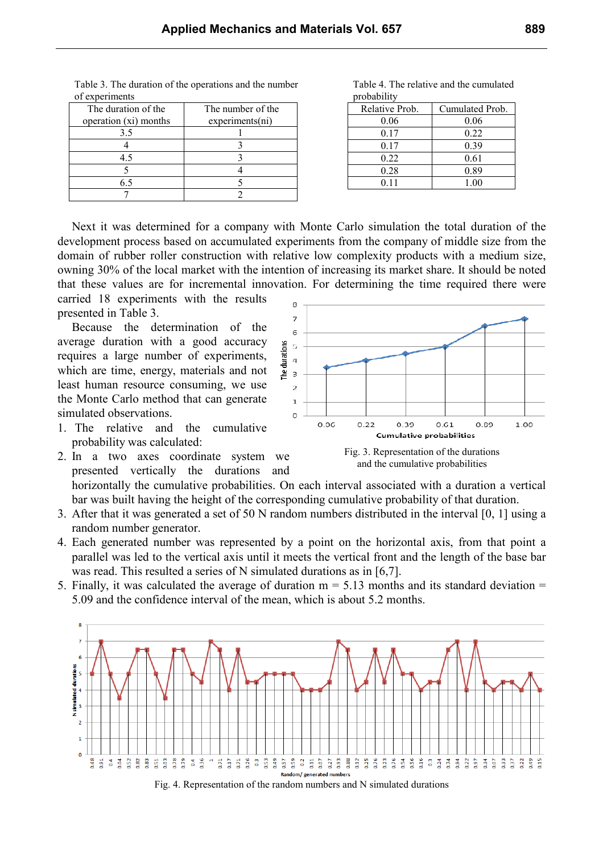| The duration of the   | The number of the |
|-----------------------|-------------------|
| operation (xi) months | experiments(ni)   |
| 3.5                   |                   |
|                       |                   |
| 4.5                   |                   |
|                       |                   |
| 65                    |                   |
|                       |                   |

Table 3. The duration of the operations and the number

of experiments

Table 4. The relative and the cumulated probability

| Relative Prob. | Cumulated Prob. |
|----------------|-----------------|
| 0.06           | 0.06            |
| 0.17           | 0.22            |
| 0.17           | 0.39            |
| 0.22           | 0.61            |
| 0.28           | 0.89            |
| 0.11           | 1.00            |

Next it was determined for a company with Monte Carlo simulation the total duration of the development process based on accumulated experiments from the company of middle size from the domain of rubber roller construction with relative low complexity products with a medium size, owning 30% of the local market with the intention of increasing its market share. It should be noted that these values are for incremental innovation. For determining the time required there were

carried 18 experiments with the results presented in Table 3.

Because the determination of the average duration with a good accuracy requires a large number of experiments, which are time, energy, materials and not least human resource consuming, we use the Monte Carlo method that can generate simulated observations.

- 1. The relative and the cumulative probability was calculated:
- Fig. 3. Representation of the durations 2. In a two axes coordinate system we presented vertically the durations and horizontally the cumulative probabilities. On each interval associated with a duration a vertical bar was built having the height of the corresponding cumulative probability of that duration.
- 3. After that it was generated a set of 50 N random numbers distributed in the interval [0, 1] using a random number generator.
- 4. Each generated number was represented by a point on the horizontal axis, from that point a parallel was led to the vertical axis until it meets the vertical front and the length of the base bar was read. This resulted a series of N simulated durations as in [6,7].
- 5. Finally, it was calculated the average of duration  $m = 5.13$  months and its standard deviation  $=$ 5.09 and the confidence interval of the mean, which is about 5.2 months.



 $\mathbf{s}$  $\overline{z}$ 6 The durations<br> $\begin{bmatrix} 1 & 1 \\ 2 & 1 \end{bmatrix}$  $\overline{z}$  $\mathbf{r}$  $\Omega$  $0.06$  $0.22$ 0.89  $1.00$  $0.39$  $0.61$ **Cumulative probabilities** 

and the cumulative probabilities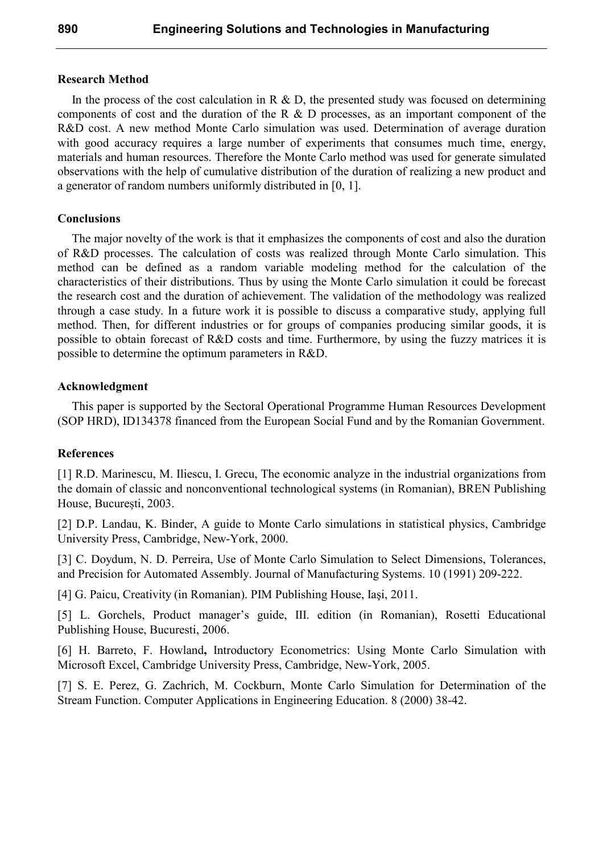#### **Research Method**

In the process of the cost calculation in R  $\&$  D, the presented study was focused on determining components of cost and the duration of the R & D processes, as an important component of the R&D cost. A new method Monte Carlo simulation was used. Determination of average duration with good accuracy requires a large number of experiments that consumes much time, energy, materials and human resources. Therefore the Monte Carlo method was used for generate simulated observations with the help of cumulative distribution of the duration of realizing a new product and a generator of random numbers uniformly distributed in [0, 1].

### **Conclusions**

The major novelty of the work is that it emphasizes the components of cost and also the duration of R&D processes. The calculation of costs was realized through Monte Carlo simulation. This method can be defined as a random variable modeling method for the calculation of the characteristics of their distributions. Thus by using the Monte Carlo simulation it could be forecast the research cost and the duration of achievement. The validation of the methodology was realized through a case study. In a future work it is possible to discuss a comparative study, applying full method. Then, for different industries or for groups of companies producing similar goods, it is possible to obtain forecast of R&D costs and time. Furthermore, by using the fuzzy matrices it is possible to determine the optimum parameters in R&D.

## **Acknowledgment**

This paper is supported by the Sectoral Operational Programme Human Resources Development (SOP HRD), ID134378 financed from the European Social Fund and by the Romanian Government.

#### **References**

[1] R.D. Marinescu, M. Iliescu, I. Grecu, The economic analyze in the industrial organizations from the domain of classic and nonconventional technological systems (in Romanian), BREN Publishing House, București, 2003.

[2] D.P. Landau, K. Binder, A guide to Monte Carlo simulations in statistical physics, Cambridge University Press, Cambridge, New-York, 2000.

[3] C. Doydum, N. D. Perreira, Use of Monte Carlo Simulation to Select Dimensions, Tolerances, and Precision for Automated Assembly. Journal of Manufacturing Systems. 10 (1991) 209-222.

[4] G. Paicu, Creativity (in Romanian). PIM Publishing House, Iaşi, 2011.

[5] L. Gorchels, Product manager's guide, III. edition (in Romanian), Rosetti Educational Publishing House, Bucuresti, 2006.

[6] H. Barreto, F. Howland**,** Introductory Econometrics: Using Monte Carlo Simulation with Microsoft Excel, Cambridge University Press, Cambridge, New-York, 2005.

[7] S. E. Perez, G. Zachrich, M. Cockburn, Monte Carlo Simulation for Determination of the Stream Function. Computer Applications in Engineering Education. 8 (2000) 38-42.